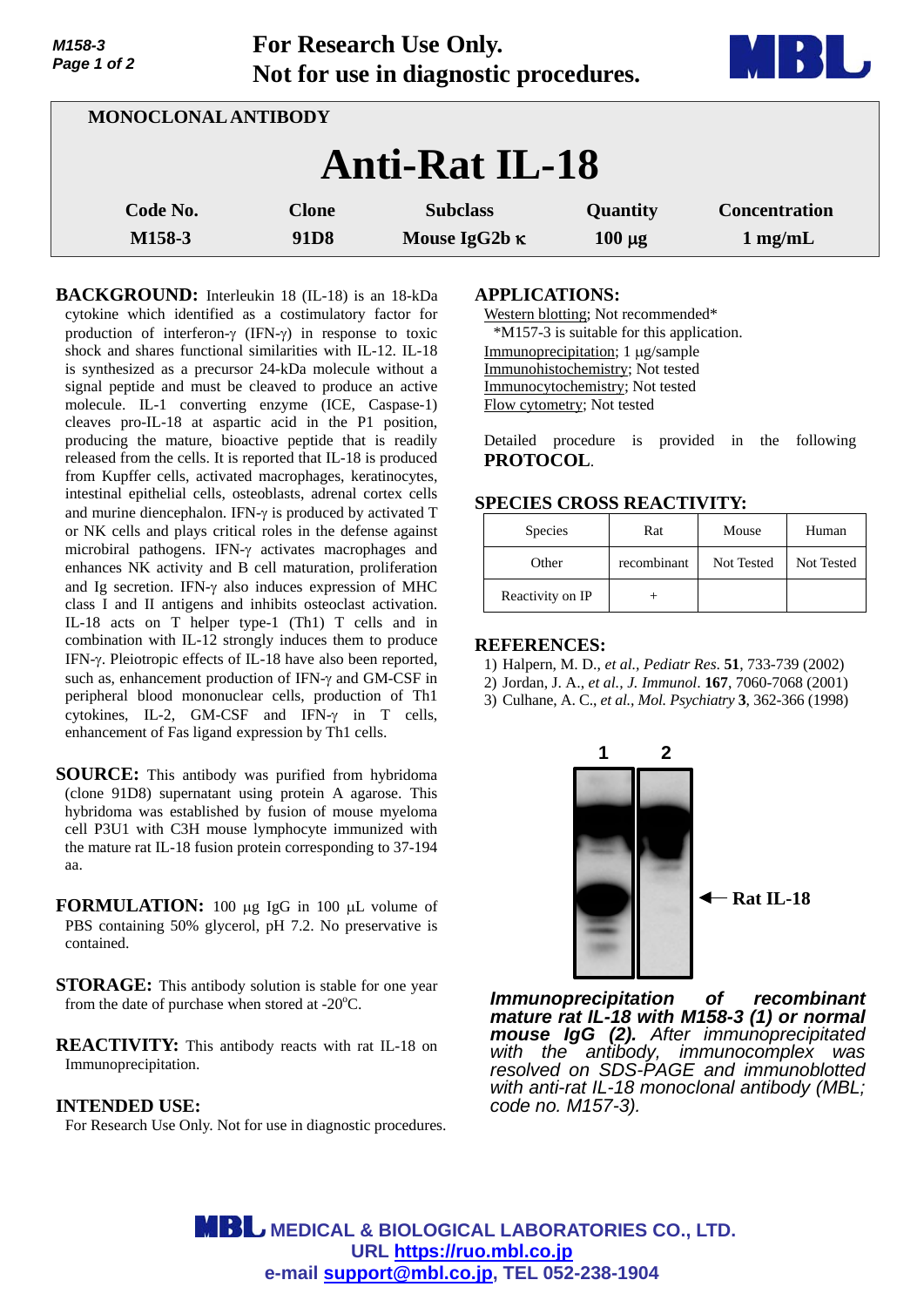| Page 1 of 2        | $101$ $1000$ $101$ $100$ $100$ $101$<br>Not for use in diagnostic procedures. |                                         |                         |                                           |
|--------------------|-------------------------------------------------------------------------------|-----------------------------------------|-------------------------|-------------------------------------------|
|                    | MONOCLONAL ANTIBODY                                                           |                                         |                         |                                           |
|                    |                                                                               | <b>Anti-Rat IL-18</b>                   |                         |                                           |
| Code No.<br>M158-3 | <b>Clone</b><br>91 <sub>D8</sub>                                              | <b>Subclass</b><br>Mouse IgG2b $\kappa$ | Quantity<br>$100 \mu g$ | <b>Concentration</b><br>$1 \text{ mg/mL}$ |

**For Research Use Only.**

**BACKGROUND:** Interleukin 18 (IL-18) is an 18-kDa cytokine which identified as a costimulatory factor for production of interferon- $\gamma$  (IFN- $\gamma$ ) in response to toxic shock and shares functional similarities with IL-12. IL-18 is synthesized as a precursor 24-kDa molecule without a signal peptide and must be cleaved to produce an active molecule. IL-1 converting enzyme (ICE, Caspase-1) cleaves pro-IL-18 at aspartic acid in the P1 position, producing the mature, bioactive peptide that is readily released from the cells. It is reported that IL-18 is produced from Kupffer cells, activated macrophages, keratinocytes, intestinal epithelial cells, osteoblasts, adrenal cortex cells and murine diencephalon. IFN- $\gamma$  is produced by activated T or NK cells and plays critical roles in the defense against microbiral pathogens. IFN- $\gamma$  activates macrophages and enhances NK activity and B cell maturation, proliferation and Ig secretion. IFN- $\gamma$  also induces expression of MHC class I and II antigens and inhibits osteoclast activation. IL-18 acts on T helper type-1 (Th1) T cells and in combination with IL-12 strongly induces them to produce IFN- $\gamma$ . Pleiotropic effects of IL-18 have also been reported, such as, enhancement production of IFN- $\gamma$  and GM-CSF in peripheral blood mononuclear cells, production of Th1 cytokines, IL-2, GM-CSF and IFN- $\gamma$  in T cells, enhancement of Fas ligand expression by Th1 cells.

- **SOURCE:** This antibody was purified from hybridoma (clone 91D8) supernatant using protein A agarose. This hybridoma was established by fusion of mouse myeloma cell P3U1 with C3H mouse lymphocyte immunized with the mature rat IL-18 fusion protein corresponding to 37-194 aa.
- **FORMULATION:** 100 µg IgG in 100 µL volume of PBS containing 50% glycerol, pH 7.2. No preservative is contained.
- **STORAGE:** This antibody solution is stable for one year from the date of purchase when stored at - $20^{\circ}$ C.
- **REACTIVITY:** This antibody reacts with rat IL-18 on Immunoprecipitation.

## **INTENDED USE:**

*M158-3* 

For Research Use Only. Not for use in diagnostic procedures.

## **APPLICATIONS:**

Western blotting; Not recommended\* \*M157-3 is suitable for this application. Immunoprecipitation;  $1 \mu$ g/sample Immunohistochemistry; Not tested Immunocytochemistry; Not tested Flow cytometry; Not tested

Detailed procedure is provided in the following **PROTOCOL**.

## **SPECIES CROSS REACTIVITY:**

| Species          | Rat         | Mouse      | Human      |
|------------------|-------------|------------|------------|
| Other            | recombinant | Not Tested | Not Tested |
| Reactivity on IP |             |            |            |

#### **REFERENCES:**

- 1) Halpern, M. D., *et al., Pediatr Res*. **51**, 733-739 (2002)
- 2) Jordan, J. A., *et al., J. Immunol*. **167**, 7060-7068 (2001)
- 3) Culhane, A. C., *et al., Mol. Psychiatry* **3**, 362-366 (1998)



*Immunoprecipitation of recombinant mature rat IL-18 with M158-3 (1) or normal mouse IgG (2). After immunoprecipitated with the antibody, immunocomplex was resolved on SDS-PAGE and immunoblotted with anti-rat IL-18 monoclonal antibody (MBL; code no. M157-3).* 

**MBL** MEDICAL & BIOLOGICAL LABORATORIES CO., LTD. **URL https://ruo.mbl.co.jp e-mail support@mbl.co.jp, TEL 052-238-1904**